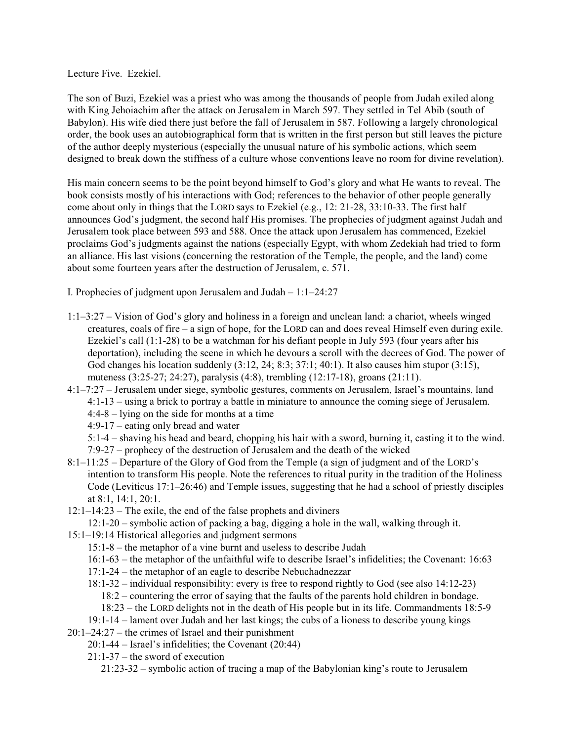Lecture Five. Ezekiel.

The son of Buzi, Ezekiel was a priest who was among the thousands of people from Judah exiled along with King Jehoiachim after the attack on Jerusalem in March 597. They settled in Tel Abib (south of Babylon). His wife died there just before the fall of Jerusalem in 587. Following a largely chronological order, the book uses an autobiographical form that is written in the first person but still leaves the picture of the author deeply mysterious (especially the unusual nature of his symbolic actions, which seem designed to break down the stiffness of a culture whose conventions leave no room for divine revelation).

His main concern seems to be the point beyond himself to God's glory and what He wants to reveal. The book consists mostly of his interactions with God; references to the behavior of other people generally come about only in things that the LORD says to Ezekiel (e.g., 12: 21-28, 33:10-33. The first half announces God's judgment, the second half His promises. The prophecies of judgment against Judah and Jerusalem took place between 593 and 588. Once the attack upon Jerusalem has commenced, Ezekiel proclaims God's judgments against the nations (especially Egypt, with whom Zedekiah had tried to form an alliance. His last visions (concerning the restoration of the Temple, the people, and the land) come about some fourteen years after the destruction of Jerusalem, c. 571.

I. Prophecies of judgment upon Jerusalem and Judah – 1:1–24:27

- 1:1–3:27 Vision of God's glory and holiness in a foreign and unclean land: a chariot, wheels winged creatures, coals of fire – a sign of hope, for the LORD can and does reveal Himself even during exile. Ezekiel's call (1:1-28) to be a watchman for his defiant people in July 593 (four years after his deportation), including the scene in which he devours a scroll with the decrees of God. The power of God changes his location suddenly  $(3:12, 24; 8:3; 37:1; 40:1)$ . It also causes him stupor  $(3:15)$ , muteness (3:25-27; 24:27), paralysis (4:8), trembling (12:17-18), groans (21:11).
- 4:1–7:27 Jerusalem under siege, symbolic gestures, comments on Jerusalem, Israel's mountains, land 4:1-13 – using a brick to portray a battle in miniature to announce the coming siege of Jerusalem. 4:4-8 – lying on the side for months at a time

4:9-17 – eating only bread and water

5:1-4 – shaving his head and beard, chopping his hair with a sword, burning it, casting it to the wind. 7:9-27 – prophecy of the destruction of Jerusalem and the death of the wicked

- 8:1–11:25 Departure of the Glory of God from the Temple (a sign of judgment and of the LORD's intention to transform His people. Note the references to ritual purity in the tradition of the Holiness Code (Leviticus 17:1–26:46) and Temple issues, suggesting that he had a school of priestly disciples at 8:1, 14:1, 20:1.
- 12:1–14:23 The exile, the end of the false prophets and diviners
	- 12:1-20 symbolic action of packing a bag, digging a hole in the wall, walking through it.
- 15:1–19:14 Historical allegories and judgment sermons
	- 15:1-8 the metaphor of a vine burnt and useless to describe Judah
	- 16:1-63 the metaphor of the unfaithful wife to describe Israel's infidelities; the Covenant: 16:63
	- 17:1-24 the metaphor of an eagle to describe Nebuchadnezzar
	- 18:1-32 individual responsibility: every is free to respond rightly to God (see also 14:12-23)
		- 18:2 countering the error of saying that the faults of the parents hold children in bondage.
		- 18:23 the LORD delights not in the death of His people but in its life. Commandments 18:5-9
	- 19:1-14 lament over Judah and her last kings; the cubs of a lioness to describe young kings
- 20:1–24:27 the crimes of Israel and their punishment
	- 20:1-44 Israel's infidelities; the Covenant (20:44)
		- 21:1-37 the sword of execution
			- 21:23-32 symbolic action of tracing a map of the Babylonian king's route to Jerusalem